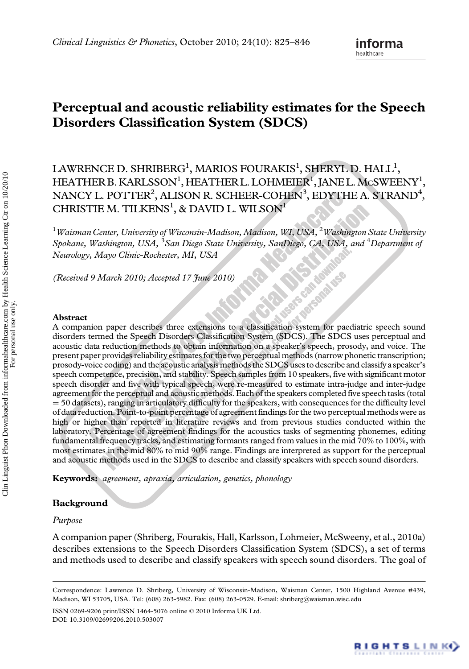# Perceptual and acoustic reliability estimates for the Speech Disorders Classification System (SDCS)

# LAWRENCE D. SHRIBERG $^1$ , MARIOS FOURAKIS $^1$ , SHERYL D. HALL $^1$ , HEATHER B. KARLSSON<sup>1</sup>, HEATHER L. LOHMEIER<sup>1</sup>, JANE L. McSWEENY<sup>1</sup>, NANCY L. POTTER $^2$ , ALISON R. SCHEER-COHEN $^3$ , EDYTHE A. STRAND $^4$ , CHRISTIE M. TILKENS<sup>1</sup>, & DAVID L. WILSON<sup>1</sup>

 $^1$ Waisman Center, University of Wisconsin-Madison, Madison, WI, USA,  $^2$ Washington State University Spokane, Washington, USA, <sup>3</sup>San Diego State University, SanDiego, CA, USA, and <sup>4</sup>Department of Neurology, Mayo Clinic-Rochester, MI, USA **CASA CASA** 

**SLAGATES** 

(Received 9 March 2010; Accepted 17 June 2010)

#### Abstract

A companion paper describes three extensions to a classification system for paediatric speech sound disorders termed the Speech Disorders Classification System (SDCS). The SDCS uses perceptual and acoustic data reduction methods to obtain information on a speaker's speech, prosody, and voice. The present paper provides reliability estimates for the two perceptual methods (narrow phonetic transcription; prosody-voice coding) and the acoustic analysis methods the SDCS uses to describe and classify a speaker's speech competence, precision, and stability. Speech samples from 10 speakers, five with significant motor speech disorder and five with typical speech, were re-measured to estimate intra-judge and inter-judge agreement for the perceptual and acoustic methods. Each of the speakers completed five speech tasks (total  $=$  50 datasets), ranging in articulatory difficulty for the speakers, with consequences for the difficulty level of data reduction. Point-to-point percentage of agreement findings for the two perceptual methods were as high or higher than reported in literature reviews and from previous studies conducted within the laboratory. Percentage of agreement findings for the acoustics tasks of segmenting phonemes, editing fundamental frequency tracks, and estimating formants ranged from values in the mid 70% to 100%, with most estimates in the mid 80% to mid 90% range. Findings are interpreted as support for the perceptual and acoustic methods used in the SDCS to describe and classify speakers with speech sound disorders.

Keywords: agreement, apraxia, articulation, genetics, phonology

## Background

## Purpose

A companion paper (Shriberg, Fourakis, Hall, Karlsson, Lohmeier, McSweeny, et al., 2010a) describes extensions to the Speech Disorders Classification System (SDCS), a set of terms and methods used to describe and classify speakers with speech sound disorders. The goal of

ISSN 0269-9206 print/ISSN 1464-5076 online © 2010 Informa UK Ltd. DOI: 10.3109/02699206.2010.503007



Correspondence: Lawrence D. Shriberg, University of Wisconsin-Madison, Waisman Center, 1500 Highland Avenue #439, Madison, WI 53705, USA. Tel: (608) 263-5982. Fax: (608) 263-0529. E-mail: shriberg@waisman.wisc.edu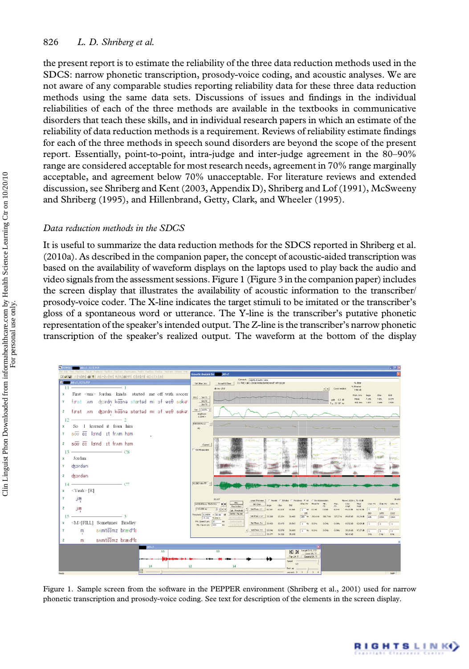## 826 L. D. Shriberg et al.

the present report is to estimate the reliability of the three data reduction methods used in the SDCS: narrow phonetic transcription, prosody-voice coding, and acoustic analyses. We are not aware of any comparable studies reporting reliability data for these three data reduction methods using the same data sets. Discussions of issues and findings in the individual reliabilities of each of the three methods are available in the textbooks in communicative disorders that teach these skills, and in individual research papers in which an estimate of the reliability of data reduction methods is a requirement. Reviews of reliability estimate findings for each of the three methods in speech sound disorders are beyond the scope of the present report. Essentially, point-to-point, intra-judge and inter-judge agreement in the 80–90% range are considered acceptable for most research needs, agreement in 70% range marginally acceptable, and agreement below 70% unacceptable. For literature reviews and extended discussion, see Shriberg and Kent (2003, Appendix D), Shriberg and Lof (1991), McSweeny and Shriberg (1995), and Hillenbrand, Getty, Clark, and Wheeler (1995).

#### Data reduction methods in the SDCS

It is useful to summarize the data reduction methods for the SDCS reported in Shriberg et al. (2010a). As described in the companion paper, the concept of acoustic-aided transcription was based on the availability of waveform displays on the laptops used to play back the audio and video signals from the assessment sessions. Figure 1 (Figure 3 in the companion paper) includes the screen display that illustrates the availability of acoustic information to the transcriber/ prosody-voice coder. The X-line indicates the target stimuli to be imitated or the transcriber's gloss of a spontaneous word or utterance. The Y-line is the transcriber's putative phonetic representation of the speaker's intended output. The Z-line is the transcriber's narrow phonetic transcription of the speaker's realized output. The waveform at the bottom of the display



Figure 1. Sample screen from the software in the PEPPER environment (Shriberg et al., 2001) used for narrow phonetic transcription and prosody-voice coding. See text for description of the elements in the screen display.

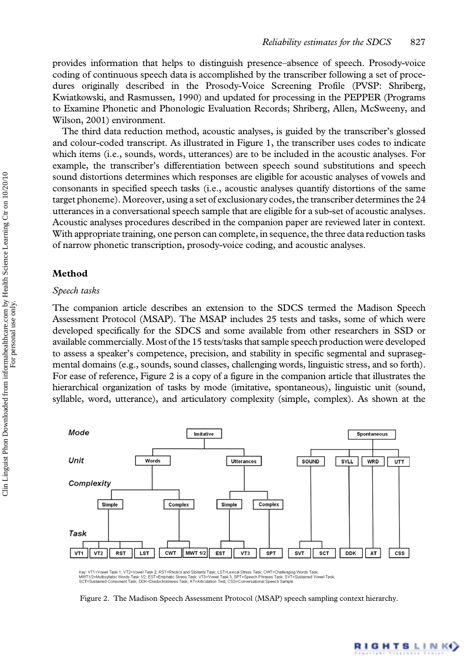provides information that helps to distinguish presence–absence of speech. Prosody-voice coding of continuous speech data is accomplished by the transcriber following a set of procedures originally described in the Prosody-Voice Screening Profile (PVSP: Shriberg, Kwiatkowski, and Rasmussen, 1990) and updated for processing in the PEPPER (Programs to Examine Phonetic and Phonologic Evaluation Records; Shriberg, Allen, McSweeny, and Wilson, 2001) environment.

The third data reduction method, acoustic analyses, is guided by the transcriber's glossed and colour-coded transcript. As illustrated in Figure 1, the transcriber uses codes to indicate which items (i.e., sounds, words, utterances) are to be included in the acoustic analyses. For example, the transcriber's differentiation between speech sound substitutions and speech sound distortions determines which responses are eligible for acoustic analyses of vowels and consonants in specified speech tasks (i.e., acoustic analyses quantify distortions of the same target phoneme).Moreover, using a set of exclusionary codes, the transcriber determines the 24 utterances in a conversational speech sample that are eligible for a sub-set of acoustic analyses. Acoustic analyses procedures described in the companion paper are reviewed later in context. With appropriate training, one person can complete, in sequence, the three data reduction tasks of narrow phonetic transcription, prosody-voice coding, and acoustic analyses.

# Method

## Speech tasks

The companion article describes an extension to the SDCS termed the Madison Speech Assessment Protocol (MSAP). The MSAP includes 25 tests and tasks, some of which were developed specifically for the SDCS and some available from other researchers in SSD or available commercially.Most of the 15 tests/tasks that sample speech production were developed to assess a speaker's competence, precision, and stability in specific segmental and suprasegmental domains (e.g., sounds, sound classes, challenging words, linguistic stress, and so forth). For ease of reference, Figure 2 is a copy of a figure in the companion article that illustrates the hierarchical organization of tasks by mode (imitative, spontaneous), linguistic unit (sound, syllable, word, utterance), and articulatory complexity (simple, complex). As shown at the



Key, VT1=Vowel Task 1; VT2=Vowel Task 2; RST=Rhotics and Sibilants Task; LST=Lexical Stress Task; CWT=Challenging Words Task;<br>MWT1/Z=Muttisyllabic Words Task 1/2; EST=Emphatic Stress Task; VT3=Vowel Task 3; SPT=Speech Phra



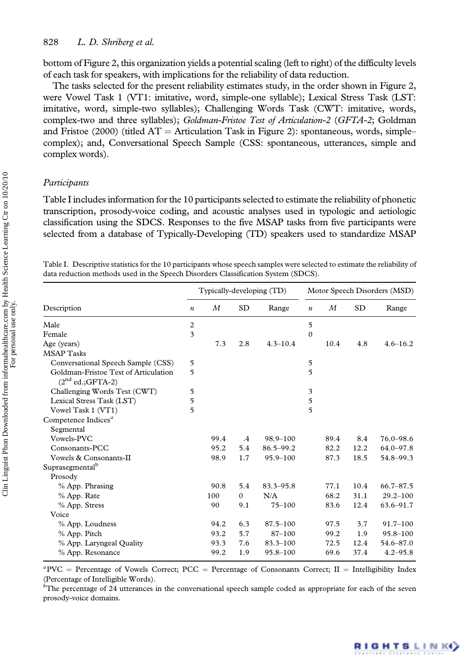bottom of Figure 2, this organization yields a potential scaling (left to right) of the difficulty levels of each task for speakers, with implications for the reliability of data reduction.

The tasks selected for the present reliability estimates study, in the order shown in Figure 2, were Vowel Task 1 (VT1: imitative, word, simple-one syllable); Lexical Stress Task (LST: imitative, word, simple-two syllables); Challenging Words Task (CWT: imitative, words, complex-two and three syllables); Goldman-Fristoe Test of Articulation-2 (GFTA-2; Goldman and Fristoe (2000) (titled  $AT =$  Articulation Task in Figure 2): spontaneous, words, simple– complex); and, Conversational Speech Sample (CSS: spontaneous, utterances, simple and complex words).

### Participants

Table I includes information for the 10 participants selected to estimate the reliability of phonetic transcription, prosody-voice coding, and acoustic analyses used in typologic and aetiologic classification using the SDCS. Responses to the five MSAP tasks from five participants were selected from a database of Typically-Developing (TD) speakers used to standardize MSAP

Table I. Descriptive statistics for the 10 participants whose speech samples were selected to estimate the reliability of data reduction methods used in the Speech Disorders Classification System (SDCS).

|                                                            |                  |      |           | Typically-developing (TD) |                  |      |           | Motor Speech Disorders (MSD) |
|------------------------------------------------------------|------------------|------|-----------|---------------------------|------------------|------|-----------|------------------------------|
| Description                                                | $\boldsymbol{n}$ | М    | <b>SD</b> | Range                     | $\boldsymbol{n}$ | М    | <b>SD</b> | Range                        |
| Male                                                       | $\overline{c}$   |      |           |                           | 5                |      |           |                              |
| Female                                                     | 3                |      |           |                           | $\theta$         |      |           |                              |
| Age (years)                                                |                  | 7.3  | 2.8       | $4.3 - 10.4$              |                  | 10.4 | 4.8       | $4.6 - 16.2$                 |
| <b>MSAP</b> Tasks                                          |                  |      |           |                           |                  |      |           |                              |
| Conversational Speech Sample (CSS)                         | 5                |      |           |                           | 5                |      |           |                              |
| Goldman-Fristoe Test of Articulation<br>$(2nd ed.;GFTA-2)$ | 5                |      |           |                           | 5                |      |           |                              |
| Challenging Words Test (CWT)                               | 5                |      |           |                           | 3                |      |           |                              |
| Lexical Stress Task (LST)                                  | 5                |      |           |                           | 5                |      |           |                              |
| Vowel Task 1 (VT1)                                         | 5                |      |           |                           | 5                |      |           |                              |
| Competence Indices <sup>a</sup>                            |                  |      |           |                           |                  |      |           |                              |
| Segmental                                                  |                  |      |           |                           |                  |      |           |                              |
| Vowels-PVC                                                 |                  | 99.4 | $\cdot$   | $98.9 - 100$              |                  | 89.4 | 8.4       | $76.0 - 98.6$                |
| Consonants-PCC                                             |                  | 95.2 | 5.4       | 86.5-99.2                 |                  | 82.2 | 12.2      | $64.0 - 97.8$                |
| Vowels & Consonants-II                                     |                  | 98.9 | 1.7       | $95.9 - 100$              |                  | 87.3 | 18.5      | 54.8-99.3                    |
| Suprasegmental <sup>b</sup>                                |                  |      |           |                           |                  |      |           |                              |
| Prosody                                                    |                  |      |           |                           |                  |      |           |                              |
| % App. Phrasing                                            |                  | 90.8 | 5.4       | 83.3-95.8                 |                  | 77.1 | 10.4      | $66.7 - 87.5$                |
| % App. Rate                                                |                  | 100  | $\Omega$  | N/A                       |                  | 68.2 | 31.1      | $29.2 - 100$                 |
| % App. Stress                                              |                  | 90   | 9.1       | $75 - 100$                |                  | 83.6 | 12.4      | $63.6 - 91.7$                |
| Voice                                                      |                  |      |           |                           |                  |      |           |                              |
| % App. Loudness                                            |                  | 94.2 | 6.3       | $87.5 - 100$              |                  | 97.5 | 3.7       | $91.7 - 100$                 |
| % App. Pitch                                               |                  | 93.2 | 5.7       | $87 - 100$                |                  | 99.2 | 1.9       | $95.8 - 100$                 |
| % App. Laryngeal Quality                                   |                  | 93.3 | 7.6       | $83.3 - 100$              |                  | 72.5 | 12.4      | 54.6-87.0                    |
| % App. Resonance                                           |                  | 99.2 | 1.9       | $95.8 - 100$              |                  | 69.6 | 37.4      | $4.2 - 95.8$                 |

 ${}^a$ PVC = Percentage of Vowels Correct; PCC = Percentage of Consonants Correct; II = Intelligibility Index (Percentage of Intelligible Words).

 $b^b$ The percentage of 24 utterances in the conversational speech sample coded as appropriate for each of the seven prosody-voice domains.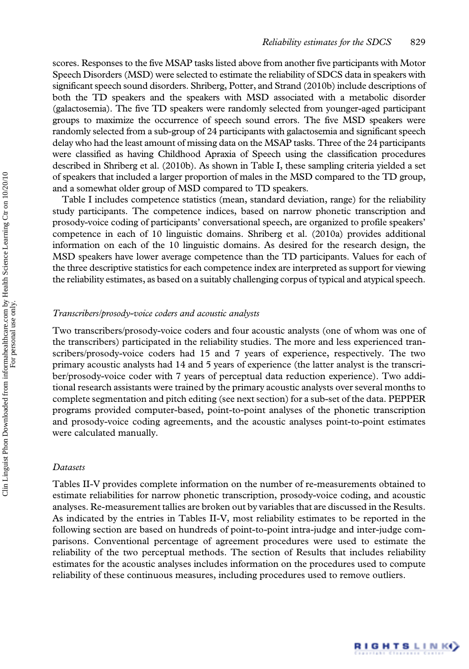scores. Responses to the five MSAP tasks listed above from another five participants with Motor Speech Disorders (MSD) were selected to estimate the reliability of SDCS data in speakers with significant speech sound disorders. Shriberg, Potter, and Strand (2010b) include descriptions of both the TD speakers and the speakers with MSD associated with a metabolic disorder (galactosemia). The five TD speakers were randomly selected from younger-aged participant groups to maximize the occurrence of speech sound errors. The five MSD speakers were randomly selected from a sub-group of 24 participants with galactosemia and significant speech delay who had the least amount of missing data on the MSAP tasks. Three of the 24 participants were classified as having Childhood Apraxia of Speech using the classification procedures described in Shriberg et al. (2010b). As shown in Table I, these sampling criteria yielded a set of speakers that included a larger proportion of males in the MSD compared to the TD group, and a somewhat older group of MSD compared to TD speakers.

Table I includes competence statistics (mean, standard deviation, range) for the reliability study participants. The competence indices, based on narrow phonetic transcription and prosody-voice coding of participants' conversational speech, are organized to profile speakers' competence in each of 10 linguistic domains. Shriberg et al. (2010a) provides additional information on each of the 10 linguistic domains. As desired for the research design, the MSD speakers have lower average competence than the TD participants. Values for each of the three descriptive statistics for each competence index are interpreted as support for viewing the reliability estimates, as based on a suitably challenging corpus of typical and atypical speech.

## Transcribers/prosody-voice coders and acoustic analysts

Two transcribers/prosody-voice coders and four acoustic analysts (one of whom was one of the transcribers) participated in the reliability studies. The more and less experienced transcribers/prosody-voice coders had 15 and 7 years of experience, respectively. The two primary acoustic analysts had 14 and 5 years of experience (the latter analyst is the transcriber/prosody-voice coder with 7 years of perceptual data reduction experience). Two additional research assistants were trained by the primary acoustic analysts over several months to complete segmentation and pitch editing (see next section) for a sub-set of the data. PEPPER programs provided computer-based, point-to-point analyses of the phonetic transcription and prosody-voice coding agreements, and the acoustic analyses point-to-point estimates were calculated manually.

## Datasets

Tables II-V provides complete information on the number of re-measurements obtained to estimate reliabilities for narrow phonetic transcription, prosody-voice coding, and acoustic analyses. Re-measurement tallies are broken out by variables that are discussed in the Results. As indicated by the entries in Tables II-V, most reliability estimates to be reported in the following section are based on hundreds of point-to-point intra-judge and inter-judge comparisons. Conventional percentage of agreement procedures were used to estimate the reliability of the two perceptual methods. The section of Results that includes reliability estimates for the acoustic analyses includes information on the procedures used to compute reliability of these continuous measures, including procedures used to remove outliers.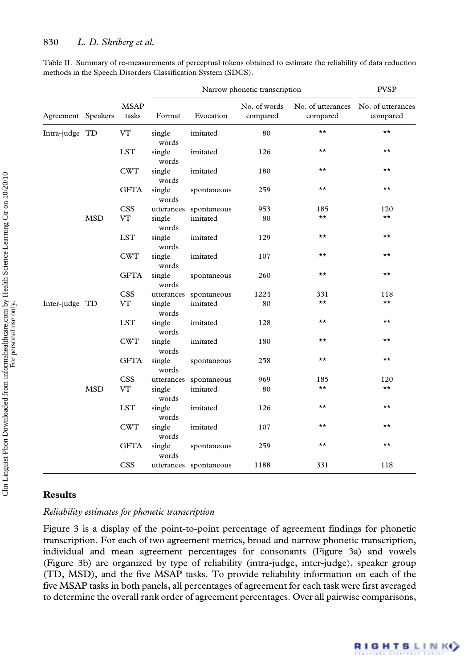|                    |            |                      |                 |                        | Narrow phonetic transcription |              | <b>PVSP</b>                                     |
|--------------------|------------|----------------------|-----------------|------------------------|-------------------------------|--------------|-------------------------------------------------|
| Agreement Speakers |            | <b>MSAP</b><br>tasks | Format          | Evocation              | No. of words<br>compared      | compared     | No. of utterances No. of utterances<br>compared |
| Intra-judge TD     |            | <b>VT</b>            | single<br>words | imitated               | 80                            | $\star\star$ | $\star\star$                                    |
|                    |            | <b>LST</b>           | single<br>words | imitated               | 126                           | $\star\star$ | $\star\star$                                    |
|                    |            | <b>CWT</b>           | single<br>words | imitated               | 180                           | $\star\star$ | $\star\star$                                    |
|                    |            | <b>GFTA</b>          | single<br>words | spontaneous            | 259                           | $\star\star$ | $\star\star$                                    |
|                    |            | <b>CSS</b>           | utterances      | spontaneous            | 953                           | 185          | 120                                             |
|                    | <b>MSD</b> | <b>VT</b>            | single<br>words | imitated               | 80                            | $\star\star$ | $\star\star$                                    |
|                    |            | <b>LST</b>           | single<br>words | imitated               | 129                           | $\star\star$ | $\star\star$                                    |
|                    |            | <b>CWT</b>           | single<br>words | imitated               | 107                           | $\star\star$ | $\star\star$                                    |
|                    |            | <b>GFTA</b>          | single<br>words | spontaneous            | 260                           | $\star\star$ | $\star\star$                                    |
|                    |            | <b>CSS</b>           | utterances      | spontaneous            | 1224                          | 331          | 118                                             |
| Inter-judge TD     |            | VT                   | single<br>words | imitated               | 80                            | $\star\star$ | $\star\star$                                    |
|                    |            | <b>LST</b>           | single<br>words | imitated               | 128                           | $\star\star$ | $\star\star$                                    |
|                    |            | <b>CWT</b>           | single<br>words | imitated               | 180                           | $\star\star$ | $\star\star$                                    |
|                    |            | <b>GFTA</b>          | single<br>words | spontaneous            | 258                           | $\star\star$ | $\star\star$                                    |
|                    |            | <b>CSS</b>           | utterances      | spontaneous            | 969                           | 185          | 120                                             |
|                    | <b>MSD</b> | <b>VT</b>            | single<br>words | imitated               | 80                            | $\star\star$ | $\star\star$                                    |
|                    |            | <b>LST</b>           | single<br>words | imitated               | 126                           | $\star\star$ | $\star\star$                                    |
|                    |            | <b>CWT</b>           | single<br>words | imitated               | 107                           | ★★           | $\star\star$                                    |
|                    |            | <b>GFTA</b>          | single<br>words | spontaneous            | 259                           | $\star\star$ | $\star\star$                                    |
|                    |            | <b>CSS</b>           |                 | utterances spontaneous | 1188                          | 331          | 118                                             |

Table II. Summary of re-measurements of perceptual tokens obtained to estimate the reliability of data reduction methods in the Speech Disorders Classification System (SDCS).

## Results

## Reliability estimates for phonetic transcription

Figure 3 is a display of the point-to-point percentage of agreement findings for phonetic transcription. For each of two agreement metrics, broad and narrow phonetic transcription, individual and mean agreement percentages for consonants (Figure 3a) and vowels (Figure 3b) are organized by type of reliability (intra-judge, inter-judge), speaker group (TD, MSD), and the five MSAP tasks. To provide reliability information on each of the five MSAP tasks in both panels, all percentages of agreement for each task were first averaged to determine the overall rank order of agreement percentages. Over all pairwise comparisons,

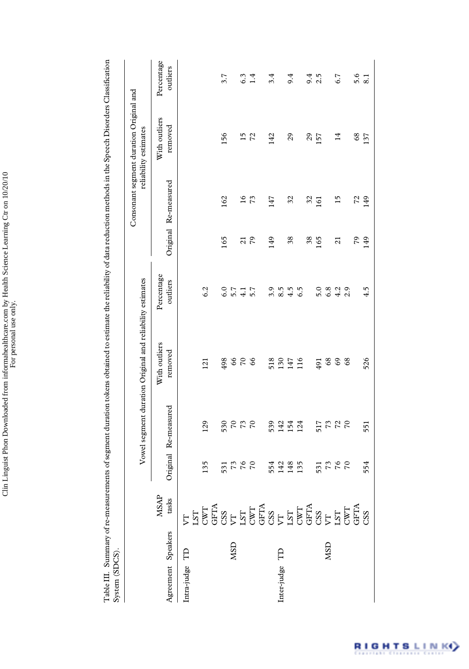Table III. Summary of re-measurements of segment duration tokens obtained to estimate the reliability of data reduction methods in the Speech Disorders Classification<br>System (SDCS). Table III. Summary of re-measurements of segment duration tokens obtained to estimate the reliability of data reduction methods in the Speech Disorders Classification System (SDCS).

| ç |  |
|---|--|
|   |  |

|                    |                            |                |                      | Vowel segment duration Original and reliability estimates |                        |                |                      | Consonant segment duration Original and<br>reliability estimates |                        |
|--------------------|----------------------------|----------------|----------------------|-----------------------------------------------------------|------------------------|----------------|----------------------|------------------------------------------------------------------|------------------------|
| Agreement Speakers | $_{\rm{task}}^{\rm{MSAP}}$ |                | Original Re-measured | With outliers<br>removed                                  | Percentage<br>outliers |                | Original Re-measured | With outliers<br>removed                                         | Percentage<br>outliers |
| ₿<br>Intra-judge   |                            |                |                      |                                                           |                        |                |                      |                                                                  |                        |
|                    |                            | 135            | 129                  | 121                                                       | 6.2                    |                |                      |                                                                  |                        |
|                    |                            |                |                      |                                                           |                        |                |                      |                                                                  |                        |
|                    |                            | 531            | 530                  | 498                                                       | 6.0                    | 165            | 162                  | 156                                                              | 3.7                    |
| <b>NSD</b>         |                            | 73             | $70\,$               | 66                                                        | 5.7                    |                |                      |                                                                  |                        |
|                    |                            | 76             | 73                   | $\overline{70}$                                           | 4.1                    | $\overline{c}$ | $\frac{6}{1}$        | 15                                                               | 6.3                    |
|                    |                            | $\sqrt{2}$     | $\sqrt{2}$           | 66                                                        | 5.7                    | 79             | 73                   | 72                                                               | 1.4                    |
|                    |                            |                |                      |                                                           |                        |                |                      |                                                                  |                        |
|                    |                            | 554            | 539                  | 518                                                       | 3.9                    | 149            | 147                  | 142                                                              | 3.4                    |
| Inter-judge TD     |                            | 142            | 142                  | 130                                                       | 8.5                    |                |                      |                                                                  |                        |
|                    |                            | 148            | 154                  | 147                                                       | 4.5                    | 38             | 32                   | 29                                                               | 9.4                    |
|                    |                            | 135            | 124                  | 116                                                       | 6.5                    |                |                      |                                                                  |                        |
|                    |                            |                |                      |                                                           |                        | 38             | 32                   | $\mathcal{L}^{\mathcal{O}}$                                      | 9.4                    |
|                    |                            | 531            | 517                  | 491                                                       | 5.0                    | 165            | 161                  | 157                                                              | 2.5                    |
| <b>ASD</b>         |                            | 73             |                      | $^{68}$                                                   | 6.8                    |                |                      |                                                                  |                        |
|                    |                            |                | $727$                | 69                                                        | 4.2                    | $\overline{a}$ | $\frac{5}{1}$        | $\vec{a}$                                                        | 6.7                    |
|                    |                            | $\overline{C}$ |                      | $^{68}$                                                   | 2.9                    |                |                      |                                                                  |                        |
|                    |                            |                |                      |                                                           |                        | 79             | 72                   | $_{68}$                                                          | 5.6                    |
|                    |                            | 554            | 551                  | 526                                                       | 4.5                    | 149            | 149                  | 137                                                              | 8.1                    |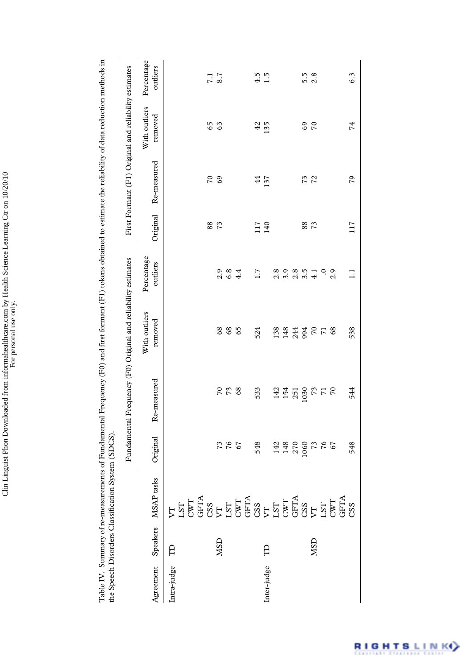|             |            | the Speech Disorders Classification System (SDCS)                     |                                               | Table IV. Summary of re-measurements of Fundamental Frequency (F0) and first formant (F1) tokens obtained to estimate the reliability of data reduction methods in |                          |                        |          |                                                       |                          |                        |
|-------------|------------|-----------------------------------------------------------------------|-----------------------------------------------|--------------------------------------------------------------------------------------------------------------------------------------------------------------------|--------------------------|------------------------|----------|-------------------------------------------------------|--------------------------|------------------------|
|             |            |                                                                       |                                               | Fundamental Frequency (F0) Original and reliability estimates                                                                                                      |                          |                        |          | First Formant (F1) Original and reliability estimates |                          |                        |
| Agreement   | Speakers   | MSAP tasks                                                            | Original                                      | Re-measured                                                                                                                                                        | With outliers<br>removed | Percentage<br>outliers | Original | Re-measured                                           | With outliers<br>removed | Percentage<br>outliers |
| Intra-judge | Э          | <b>ដូចមិន និង មាន និង មាន និង</b><br>កូន្មដឹង និង មាន មាន មាន មាន និង |                                               |                                                                                                                                                                    |                          |                        |          |                                                       |                          |                        |
|             |            |                                                                       |                                               |                                                                                                                                                                    |                          |                        |          |                                                       |                          |                        |
|             |            |                                                                       |                                               |                                                                                                                                                                    |                          |                        |          |                                                       |                          |                        |
|             |            |                                                                       |                                               |                                                                                                                                                                    |                          |                        | 88       | 70                                                    | 65                       | 7.1                    |
|             | <b>NSD</b> |                                                                       |                                               | $\mathcal{C}$                                                                                                                                                      | 68                       | 2.9                    | 73       | 69                                                    | 63                       | 8.7                    |
|             |            |                                                                       | <b>7267</b>                                   | $\mathcal{L}_{2}$                                                                                                                                                  | $^{68}$                  | $6.8\,$                |          |                                                       |                          |                        |
|             |            |                                                                       |                                               | 68                                                                                                                                                                 | 65                       | 4.4                    |          |                                                       |                          |                        |
|             |            |                                                                       |                                               |                                                                                                                                                                    |                          |                        |          |                                                       |                          |                        |
|             |            |                                                                       | 548                                           | 533                                                                                                                                                                | 524                      | 1.7                    | 117      | $\frac{4}{4}$                                         | 42                       | 4.5                    |
| Inter-judge | Ê          |                                                                       |                                               |                                                                                                                                                                    |                          |                        | 140      | 137                                                   | 135                      | $\frac{5}{1}$          |
|             |            |                                                                       |                                               | 142                                                                                                                                                                | 138                      | 2.8                    |          |                                                       |                          |                        |
|             |            |                                                                       | 142<br>148                                    | 154                                                                                                                                                                | 148                      | 3.9                    |          |                                                       |                          |                        |
|             |            |                                                                       | 270                                           | 251                                                                                                                                                                | 244                      | 2.8                    |          |                                                       |                          |                        |
|             |            |                                                                       | 1060                                          | 1030                                                                                                                                                               | 994                      | 3.5                    | 88       | 73                                                    | 69                       | 5.5                    |
|             | <b>NSD</b> |                                                                       |                                               | 73                                                                                                                                                                 | $\frac{1}{2}$            | 4.1                    | 73       | 72                                                    | $\overline{r}$           | 2.8                    |
|             |            |                                                                       | $\begin{array}{c} 73 \\ 76 \\ 67 \end{array}$ | $\frac{5}{17}$                                                                                                                                                     |                          | $\ddot{\circ}$         |          |                                                       |                          |                        |
|             |            |                                                                       |                                               |                                                                                                                                                                    | 68                       | 2.9                    |          |                                                       |                          |                        |
|             |            |                                                                       |                                               |                                                                                                                                                                    |                          |                        |          |                                                       |                          |                        |
|             |            |                                                                       | 548                                           | 544                                                                                                                                                                | 538                      | Ξ                      | 117      | 79                                                    | 74                       | 6.3                    |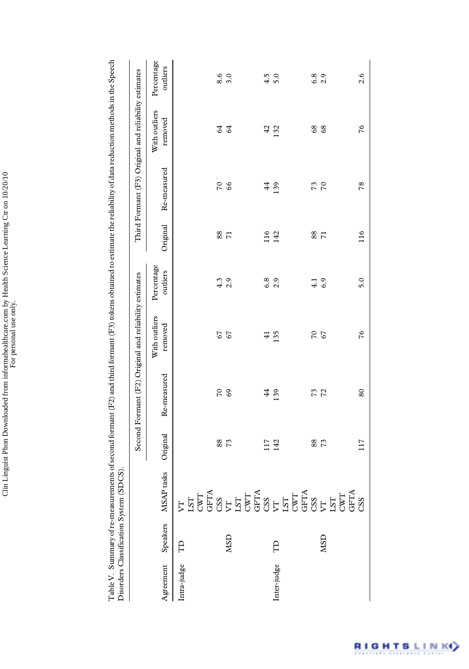|             |            | Disorders Classification System (SDCS). |          | Table V. Summary of re-measurements of second formant (F2) and third formant (F3) tokens obtained to estimate the reliability of data reduction methods in the Speech |                          |                        |                |                 |                                                       |                        |
|-------------|------------|-----------------------------------------|----------|-----------------------------------------------------------------------------------------------------------------------------------------------------------------------|--------------------------|------------------------|----------------|-----------------|-------------------------------------------------------|------------------------|
|             |            |                                         |          | Second Formant (F2) Original and reliability estimates                                                                                                                |                          |                        |                |                 | Third Formant (F3) Original and reliability estimates |                        |
| Agreement   | Speakers   | tasks<br>MSAP                           | Original | Re-measured                                                                                                                                                           | With outliers<br>removed | Percentage<br>outliers | Original       | Re-measured     | With outliers<br>removed                              | Percentage<br>outliers |
| Intra-judge | Э          |                                         |          |                                                                                                                                                                       |                          |                        |                |                 |                                                       |                        |
|             |            |                                         | 88       | $\overline{C}$                                                                                                                                                        | 67                       | 4.3                    | 88             | 70              | 64                                                    | 8.6                    |
|             | <b>NSD</b> |                                         | 73       | 69                                                                                                                                                                    | 67                       | 2.9                    | $\overline{r}$ | 66              | 64                                                    | 3.0                    |
|             |            |                                         |          |                                                                                                                                                                       |                          |                        |                |                 |                                                       |                        |
|             |            |                                         | 117      | $\frac{44}{3}$                                                                                                                                                        | $\vec{+}$                | 6.8                    | 116            | $\frac{44}{3}$  | 42                                                    | 4.5                    |
| Inter-judge | Э          |                                         | 142      | 139                                                                                                                                                                   | 135                      | 2.9                    | 142            | 139             | 132                                                   | 5.0                    |
|             |            |                                         |          |                                                                                                                                                                       |                          |                        |                |                 |                                                       |                        |
|             |            |                                         | $88\,$   |                                                                                                                                                                       | $\overline{C}$           | $\frac{1}{4}$          | 88             | 73              | $^{68}$                                               | 6.8                    |
|             | <b>NSD</b> |                                         | 73       | 73<br>72                                                                                                                                                              | 67                       | 6.9                    | $\overline{7}$ | $\overline{70}$ | 68                                                    | 2.9                    |
|             |            |                                         |          |                                                                                                                                                                       |                          |                        |                |                 |                                                       |                        |
|             |            |                                         | 117      | 80                                                                                                                                                                    | 76                       | 5.0                    | 116            | 78              | 76                                                    | 2.6                    |

 $\mathsf{l}$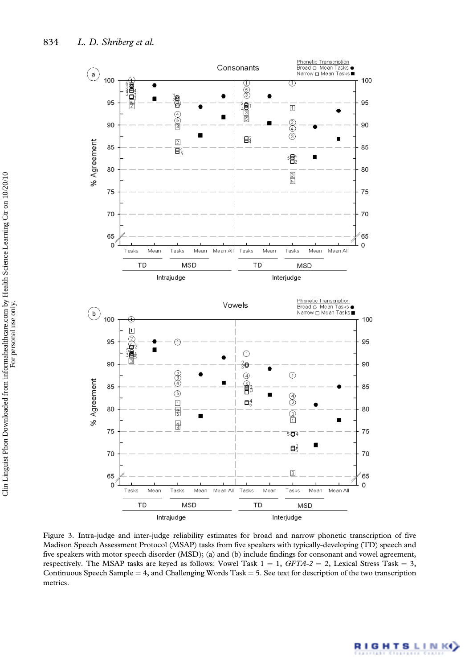

Figure 3. Intra-judge and inter-judge reliability estimates for broad and narrow phonetic transcription of five Madison Speech Assessment Protocol (MSAP) tasks from five speakers with typically-developing (TD) speech and five speakers with motor speech disorder (MSD); (a) and (b) include findings for consonant and vowel agreement, respectively. The MSAP tasks are keyed as follows: Vowel Task  $1 = 1$ ,  $GFTA-2 = 2$ , Lexical Stress Task = 3, Continuous Speech Sample =  $4$ , and Challenging Words Task =  $5$ . See text for description of the two transcription metrics.

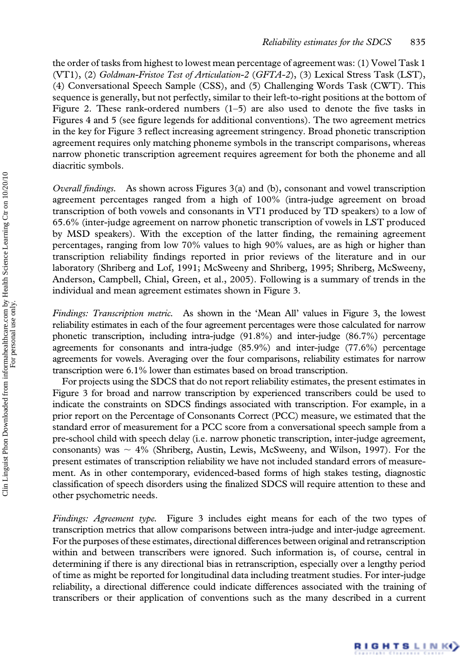the order of tasks from highest to lowest mean percentage of agreement was: (1) Vowel Task 1 (VT1), (2) Goldman-Fristoe Test of Articulation-2 (GFTA-2), (3) Lexical Stress Task (LST), (4) Conversational Speech Sample (CSS), and (5) Challenging Words Task (CWT). This sequence is generally, but not perfectly, similar to their left-to-right positions at the bottom of Figure 2. These rank-ordered numbers  $(1-5)$  are also used to denote the five tasks in Figures 4 and 5 (see figure legends for additional conventions). The two agreement metrics in the key for Figure 3 reflect increasing agreement stringency. Broad phonetic transcription agreement requires only matching phoneme symbols in the transcript comparisons, whereas narrow phonetic transcription agreement requires agreement for both the phoneme and all diacritic symbols.

*Overall findings.* As shown across Figures  $3(a)$  and (b), consonant and vowel transcription agreement percentages ranged from a high of 100% (intra-judge agreement on broad transcription of both vowels and consonants in VT1 produced by TD speakers) to a low of 65.6% (inter-judge agreement on narrow phonetic transcription of vowels in LST produced by MSD speakers). With the exception of the latter finding, the remaining agreement percentages, ranging from low 70% values to high 90% values, are as high or higher than transcription reliability findings reported in prior reviews of the literature and in our laboratory (Shriberg and Lof, 1991; McSweeny and Shriberg, 1995; Shriberg, McSweeny, Anderson, Campbell, Chial, Green, et al., 2005). Following is a summary of trends in the individual and mean agreement estimates shown in Figure 3.

Findings: Transcription metric. As shown in the 'Mean All' values in Figure 3, the lowest reliability estimates in each of the four agreement percentages were those calculated for narrow phonetic transcription, including intra-judge (91.8%) and inter-judge (86.7%) percentage agreements for consonants and intra-judge (85.9%) and inter-judge (77.6%) percentage agreements for vowels. Averaging over the four comparisons, reliability estimates for narrow transcription were 6.1% lower than estimates based on broad transcription.

For projects using the SDCS that do not report reliability estimates, the present estimates in Figure 3 for broad and narrow transcription by experienced transcribers could be used to indicate the constraints on SDCS findings associated with transcription. For example, in a prior report on the Percentage of Consonants Correct (PCC) measure, we estimated that the standard error of measurement for a PCC score from a conversational speech sample from a pre-school child with speech delay (i.e. narrow phonetic transcription, inter-judge agreement, consonants) was  $\sim$  4% (Shriberg, Austin, Lewis, McSweeny, and Wilson, 1997). For the present estimates of transcription reliability we have not included standard errors of measurement. As in other contemporary, evidenced-based forms of high stakes testing, diagnostic classification of speech disorders using the finalized SDCS will require attention to these and other psychometric needs.

Findings: Agreement type. Figure 3 includes eight means for each of the two types of transcription metrics that allow comparisons between intra-judge and inter-judge agreement. For the purposes of these estimates, directional differences between original and retranscription within and between transcribers were ignored. Such information is, of course, central in determining if there is any directional bias in retranscription, especially over a lengthy period of time as might be reported for longitudinal data including treatment studies. For inter-judge reliability, a directional difference could indicate differences associated with the training of transcribers or their application of conventions such as the many described in a current

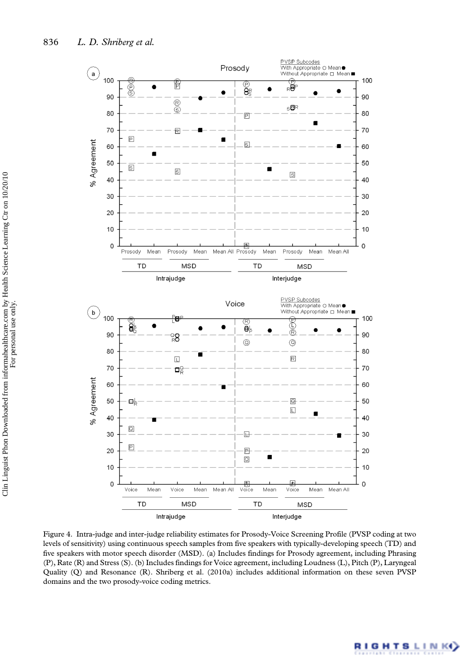

Figure 4. Intra-judge and inter-judge reliability estimates for Prosody-Voice Screening Profile (PVSP coding at two levels of sensitivity) using continuous speech samples from five speakers with typically-developing speech (TD) and five speakers with motor speech disorder (MSD). (a) Includes findings for Prosody agreement, including Phrasing (P), Rate (R) and Stress (S). (b) Includes findings for Voice agreement, including Loudness (L), Pitch (P), Laryngeal Quality (Q) and Resonance (R). Shriberg et al. (2010a) includes additional information on these seven PVSP domains and the two prosody-voice coding metrics.

**RIGHTSLINK**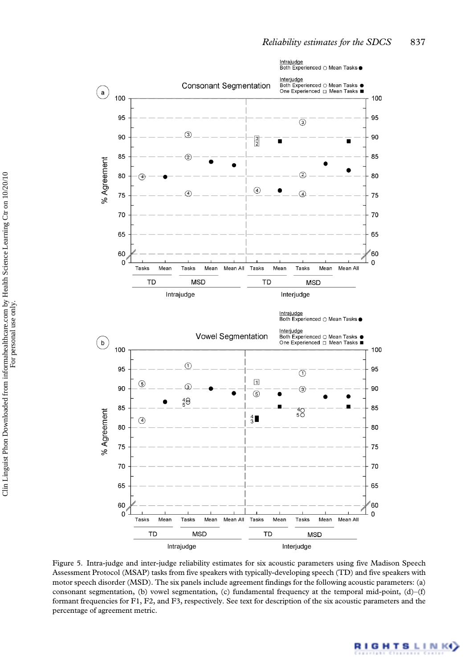

Figure 5. Intra-judge and inter-judge reliability estimates for six acoustic parameters using five Madison Speech Assessment Protocol (MSAP) tasks from five speakers with typically-developing speech (TD) and five speakers with motor speech disorder (MSD). The six panels include agreement findings for the following acoustic parameters: (a) consonant segmentation, (b) vowel segmentation, (c) fundamental frequency at the temporal mid-point, (d)–(f) formant frequencies for F1, F2, and F3, respectively. See text for description of the six acoustic parameters and the percentage of agreement metric.

**RIGHTSLINK**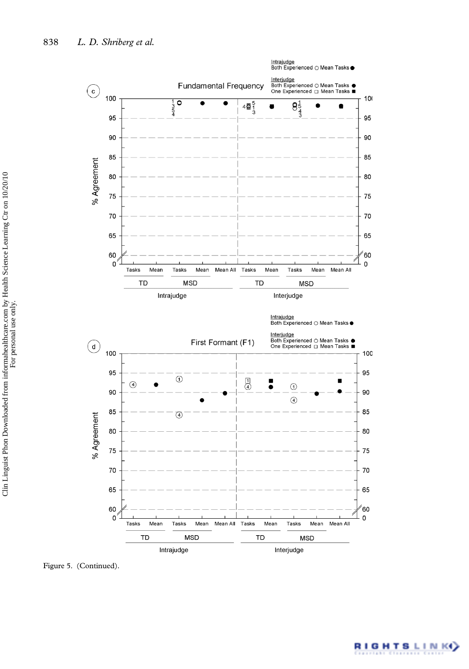

For personal use only.

Figure 5. (Continued).

**RIGHTSLINKO**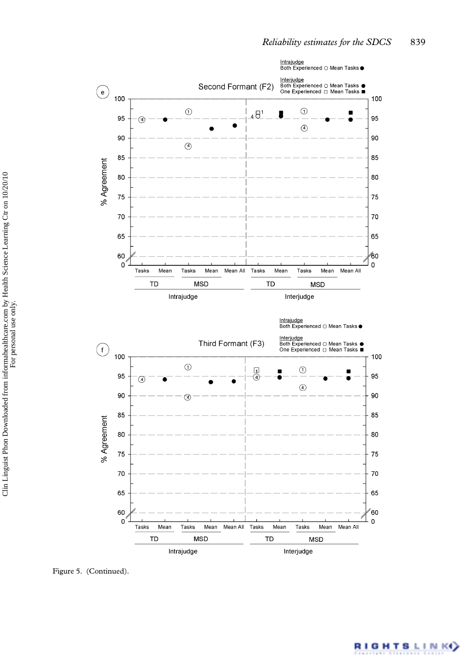

Figure 5. (Continued).

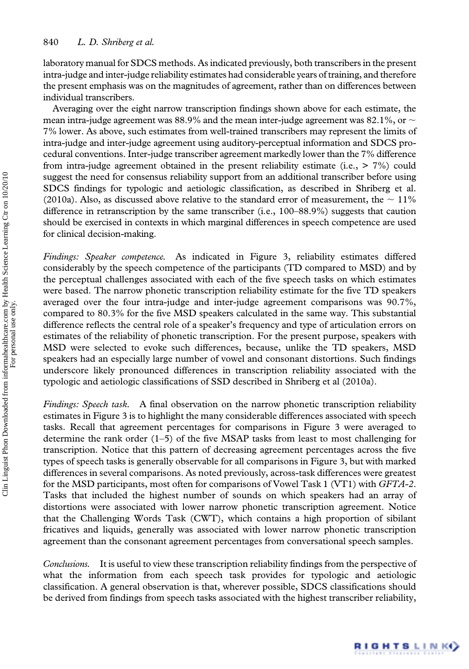laboratory manual for SDCS methods. As indicated previously, both transcribers in the present intra-judge and inter-judge reliability estimates had considerable years of training, and therefore the present emphasis was on the magnitudes of agreement, rather than on differences between individual transcribers.

Averaging over the eight narrow transcription findings shown above for each estimate, the mean intra-judge agreement was 88.9% and the mean inter-judge agreement was 82.1%, or  $\sim$ 7% lower. As above, such estimates from well-trained transcribers may represent the limits of intra-judge and inter-judge agreement using auditory-perceptual information and SDCS procedural conventions. Inter-judge transcriber agreement markedly lower than the 7% difference from intra-judge agreement obtained in the present reliability estimate (i.e., > 7%) could suggest the need for consensus reliability support from an additional transcriber before using SDCS findings for typologic and aetiologic classification, as described in Shriberg et al. (2010a). Also, as discussed above relative to the standard error of measurement, the  $\sim 11\%$ difference in retranscription by the same transcriber (i.e., 100–88.9%) suggests that caution should be exercised in contexts in which marginal differences in speech competence are used for clinical decision-making.

Findings: Speaker competence. As indicated in Figure 3, reliability estimates differed considerably by the speech competence of the participants (TD compared to MSD) and by the perceptual challenges associated with each of the five speech tasks on which estimates were based. The narrow phonetic transcription reliability estimate for the five TD speakers averaged over the four intra-judge and inter-judge agreement comparisons was 90.7%, compared to 80.3% for the five MSD speakers calculated in the same way. This substantial difference reflects the central role of a speaker's frequency and type of articulation errors on estimates of the reliability of phonetic transcription. For the present purpose, speakers with MSD were selected to evoke such differences, because, unlike the TD speakers, MSD speakers had an especially large number of vowel and consonant distortions. Such findings underscore likely pronounced differences in transcription reliability associated with the typologic and aetiologic classifications of SSD described in Shriberg et al (2010a).

Findings: Speech task. A final observation on the narrow phonetic transcription reliability estimates in Figure 3 is to highlight the many considerable differences associated with speech tasks. Recall that agreement percentages for comparisons in Figure 3 were averaged to determine the rank order  $(1–5)$  of the five MSAP tasks from least to most challenging for transcription. Notice that this pattern of decreasing agreement percentages across the five types of speech tasks is generally observable for all comparisons in Figure 3, but with marked differences in several comparisons. As noted previously, across-task differences were greatest for the MSD participants, most often for comparisons of Vowel Task 1 (VT1) with GFTA-2. Tasks that included the highest number of sounds on which speakers had an array of distortions were associated with lower narrow phonetic transcription agreement. Notice that the Challenging Words Task (CWT), which contains a high proportion of sibilant fricatives and liquids, generally was associated with lower narrow phonetic transcription agreement than the consonant agreement percentages from conversational speech samples.

Conclusions. It is useful to view these transcription reliability findings from the perspective of what the information from each speech task provides for typologic and aetiologic classification. A general observation is that, wherever possible, SDCS classifications should be derived from findings from speech tasks associated with the highest transcriber reliability,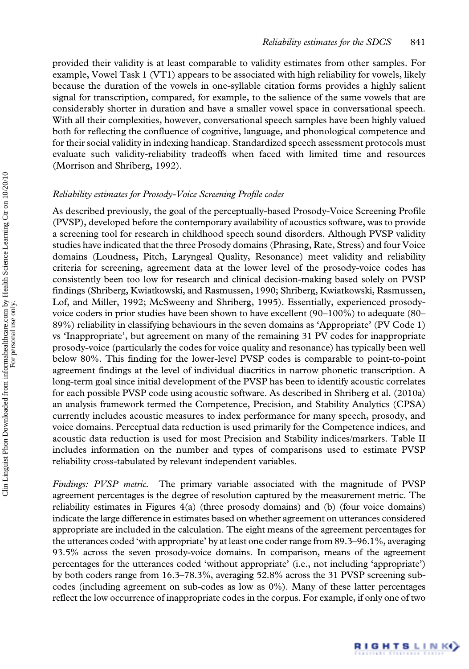provided their validity is at least comparable to validity estimates from other samples. For example, Vowel Task 1 (VT1) appears to be associated with high reliability for vowels, likely because the duration of the vowels in one-syllable citation forms provides a highly salient signal for transcription, compared, for example, to the salience of the same vowels that are considerably shorter in duration and have a smaller vowel space in conversational speech. With all their complexities, however, conversational speech samples have been highly valued both for reflecting the confluence of cognitive, language, and phonological competence and for their social validity in indexing handicap. Standardized speech assessment protocols must evaluate such validity-reliability tradeoffs when faced with limited time and resources (Morrison and Shriberg, 1992).

#### Reliability estimates for Prosody-Voice Screening Profile codes

As described previously, the goal of the perceptually-based Prosody-Voice Screening Profile (PVSP), developed before the contemporary availability of acoustics software, was to provide a screening tool for research in childhood speech sound disorders. Although PVSP validity studies have indicated that the three Prosody domains (Phrasing, Rate, Stress) and four Voice domains (Loudness, Pitch, Laryngeal Quality, Resonance) meet validity and reliability criteria for screening, agreement data at the lower level of the prosody-voice codes has consistently been too low for research and clinical decision-making based solely on PVSP findings (Shriberg, Kwiatkowski, and Rasmussen, 1990; Shriberg, Kwiatkowski, Rasmussen, Lof, and Miller, 1992; McSweeny and Shriberg, 1995). Essentially, experienced prosodyvoice coders in prior studies have been shown to have excellent (90–100%) to adequate (80– 89%) reliability in classifying behaviours in the seven domains as 'Appropriate' (PV Code 1) vs 'Inappropriate', but agreement on many of the remaining 31 PV codes for inappropriate prosody-voice (particularly the codes for voice quality and resonance) has typically been well below 80%. This finding for the lower-level PVSP codes is comparable to point-to-point agreement findings at the level of individual diacritics in narrow phonetic transcription. A long-term goal since initial development of the PVSP has been to identify acoustic correlates for each possible PVSP code using acoustic software. As described in Shriberg et al. (2010a) an analysis framework termed the Competence, Precision, and Stability Analytics (CPSA) currently includes acoustic measures to index performance for many speech, prosody, and voice domains. Perceptual data reduction is used primarily for the Competence indices, and acoustic data reduction is used for most Precision and Stability indices/markers. Table II includes information on the number and types of comparisons used to estimate PVSP reliability cross-tabulated by relevant independent variables.

Findings: PVSP metric. The primary variable associated with the magnitude of PVSP agreement percentages is the degree of resolution captured by the measurement metric. The reliability estimates in Figures 4(a) (three prosody domains) and (b) (four voice domains) indicate the large difference in estimates based on whether agreement on utterances considered appropriate are included in the calculation. The eight means of the agreement percentages for the utterances coded 'with appropriate' by at least one coder range from 89.3–96.1%, averaging 93.5% across the seven prosody-voice domains. In comparison, means of the agreement percentages for the utterances coded 'without appropriate' (i.e., not including 'appropriate') by both coders range from 16.3–78.3%, averaging 52.8% across the 31 PVSP screening subcodes (including agreement on sub-codes as low as 0%). Many of these latter percentages reflect the low occurrence of inappropriate codes in the corpus. For example, if only one of two

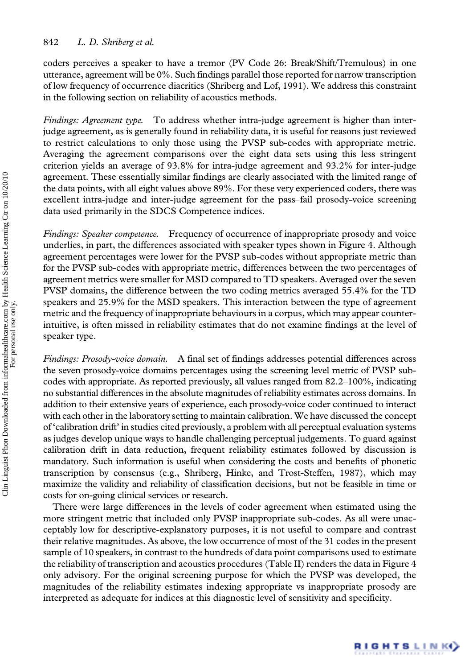coders perceives a speaker to have a tremor (PV Code 26: Break/Shift/Tremulous) in one utterance, agreement will be 0%. Such findings parallel those reported for narrow transcription of low frequency of occurrence diacritics (Shriberg and Lof, 1991). We address this constraint in the following section on reliability of acoustics methods.

Findings: Agreement type. To address whether intra-judge agreement is higher than interjudge agreement, as is generally found in reliability data, it is useful for reasons just reviewed to restrict calculations to only those using the PVSP sub-codes with appropriate metric. Averaging the agreement comparisons over the eight data sets using this less stringent criterion yields an average of 93.8% for intra-judge agreement and 93.2% for inter-judge agreement. These essentially similar findings are clearly associated with the limited range of the data points, with all eight values above 89%. For these very experienced coders, there was excellent intra-judge and inter-judge agreement for the pass–fail prosody-voice screening data used primarily in the SDCS Competence indices.

Findings: Speaker competence. Frequency of occurrence of inappropriate prosody and voice underlies, in part, the differences associated with speaker types shown in Figure 4. Although agreement percentages were lower for the PVSP sub-codes without appropriate metric than for the PVSP sub-codes with appropriate metric, differences between the two percentages of agreement metrics were smaller for MSD compared to TD speakers. Averaged over the seven PVSP domains, the difference between the two coding metrics averaged 55.4% for the TD speakers and 25.9% for the MSD speakers. This interaction between the type of agreement metric and the frequency of inappropriate behaviours in a corpus, which may appear counterintuitive, is often missed in reliability estimates that do not examine findings at the level of speaker type.

Findings: Prosody-voice domain. A final set of findings addresses potential differences across the seven prosody-voice domains percentages using the screening level metric of PVSP subcodes with appropriate. As reported previously, all values ranged from 82.2–100%, indicating no substantial differences in the absolute magnitudes of reliability estimates across domains. In addition to their extensive years of experience, each prosody-voice coder continued to interact with each other in the laboratory setting to maintain calibration. We have discussed the concept of 'calibration drift' in studies cited previously, a problem with all perceptual evaluation systems as judges develop unique ways to handle challenging perceptual judgements. To guard against calibration drift in data reduction, frequent reliability estimates followed by discussion is mandatory. Such information is useful when considering the costs and benefits of phonetic transcription by consensus (e.g., Shriberg, Hinke, and Trost-Steffen, 1987), which may maximize the validity and reliability of classification decisions, but not be feasible in time or costs for on-going clinical services or research.

There were large differences in the levels of coder agreement when estimated using the more stringent metric that included only PVSP inappropriate sub-codes. As all were unacceptably low for descriptive-explanatory purposes, it is not useful to compare and contrast their relative magnitudes. As above, the low occurrence of most of the 31 codes in the present sample of 10 speakers, in contrast to the hundreds of data point comparisons used to estimate the reliability of transcription and acoustics procedures (Table II) renders the data in Figure 4 only advisory. For the original screening purpose for which the PVSP was developed, the magnitudes of the reliability estimates indexing appropriate vs inappropriate prosody are interpreted as adequate for indices at this diagnostic level of sensitivity and specificity.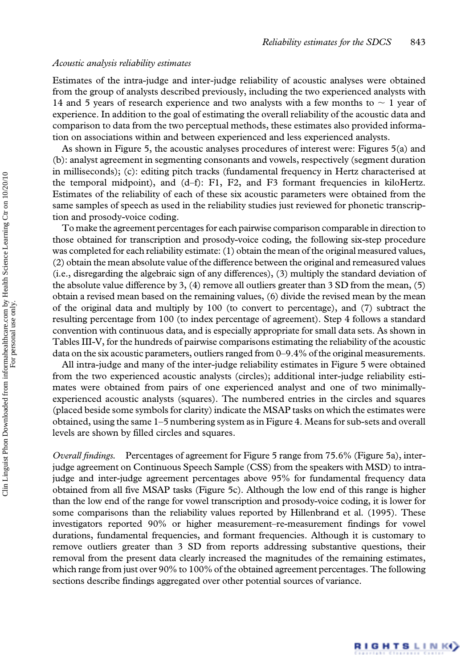#### Acoustic analysis reliability estimates

Estimates of the intra-judge and inter-judge reliability of acoustic analyses were obtained from the group of analysts described previously, including the two experienced analysts with 14 and 5 years of research experience and two analysts with a few months to  $\sim$  1 year of experience. In addition to the goal of estimating the overall reliability of the acoustic data and comparison to data from the two perceptual methods, these estimates also provided information on associations within and between experienced and less experienced analysts.

As shown in Figure 5, the acoustic analyses procedures of interest were: Figures 5(a) and (b): analyst agreement in segmenting consonants and vowels, respectively (segment duration in milliseconds); (c): editing pitch tracks (fundamental frequency in Hertz characterised at the temporal midpoint), and (d–f): F1, F2, and F3 formant frequencies in kiloHertz. Estimates of the reliability of each of these six acoustic parameters were obtained from the same samples of speech as used in the reliability studies just reviewed for phonetic transcription and prosody-voice coding.

To make the agreement percentages for each pairwise comparison comparable in direction to those obtained for transcription and prosody-voice coding, the following six-step procedure was completed for each reliability estimate: (1) obtain the mean of the original measured values, (2) obtain the mean absolute value of the difference between the original and remeasured values (i.e., disregarding the algebraic sign of any differences), (3) multiply the standard deviation of the absolute value difference by 3, (4) remove all outliers greater than 3 SD from the mean, (5) obtain a revised mean based on the remaining values, (6) divide the revised mean by the mean of the original data and multiply by 100 (to convert to percentage), and (7) subtract the resulting percentage from 100 (to index percentage of agreement). Step 4 follows a standard convention with continuous data, and is especially appropriate for small data sets. As shown in Tables III-V, for the hundreds of pairwise comparisons estimating the reliability of the acoustic data on the six acoustic parameters, outliers ranged from 0–9.4% of the original measurements.

All intra-judge and many of the inter-judge reliability estimates in Figure 5 were obtained from the two experienced acoustic analysts (circles); additional inter-judge reliability estimates were obtained from pairs of one experienced analyst and one of two minimallyexperienced acoustic analysts (squares). The numbered entries in the circles and squares (placed beside some symbols for clarity) indicate the MSAP tasks on which the estimates were obtained, using the same 1–5 numbering system as in Figure 4. Means for sub-sets and overall levels are shown by filled circles and squares.

Overall findings. Percentages of agreement for Figure 5 range from 75.6% (Figure 5a), interjudge agreement on Continuous Speech Sample (CSS) from the speakers with MSD) to intrajudge and inter-judge agreement percentages above 95% for fundamental frequency data obtained from all five MSAP tasks (Figure 5c). Although the low end of this range is higher than the low end of the range for vowel transcription and prosody-voice coding, it is lower for some comparisons than the reliability values reported by Hillenbrand et al. (1995). These investigators reported 90% or higher measurement–re-measurement findings for vowel durations, fundamental frequencies, and formant frequencies. Although it is customary to remove outliers greater than 3 SD from reports addressing substantive questions, their removal from the present data clearly increased the magnitudes of the remaining estimates, which range from just over 90% to 100% of the obtained agreement percentages. The following sections describe findings aggregated over other potential sources of variance.

RIGHTSLINK)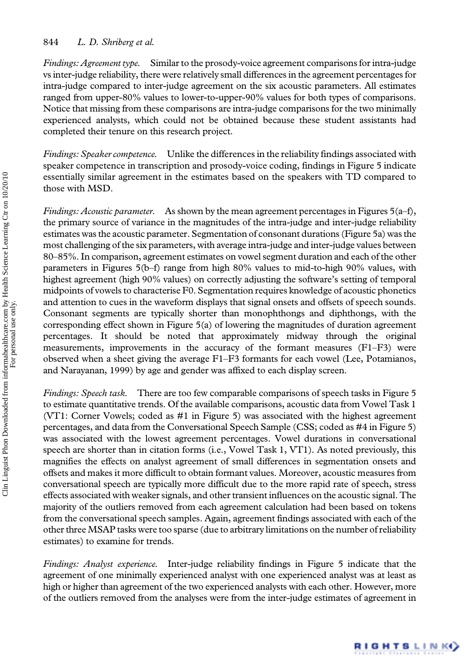## 844 L. D. Shriberg et al.

Findings: Agreement type. Similar to the prosody-voice agreement comparisons for intra-judge vs inter-judge reliability, there were relatively small differences in the agreement percentages for intra-judge compared to inter-judge agreement on the six acoustic parameters. All estimates ranged from upper-80% values to lower-to-upper-90% values for both types of comparisons. Notice that missing from these comparisons are intra-judge comparisons for the two minimally experienced analysts, which could not be obtained because these student assistants had completed their tenure on this research project.

Findings: Speaker competence. Unlike the differences in the reliability findings associated with speaker competence in transcription and prosody-voice coding, findings in Figure 5 indicate essentially similar agreement in the estimates based on the speakers with TD compared to those with MSD.

*Findings: Acoustic parameter.* As shown by the mean agreement percentages in Figures  $5(a-f)$ , the primary source of variance in the magnitudes of the intra-judge and inter-judge reliability estimates was the acoustic parameter. Segmentation of consonant durations (Figure 5a) was the most challenging of the six parameters, with average intra-judge and inter-judge values between 80–85%. In comparison, agreement estimates on vowel segment duration and each of the other parameters in Figures 5(b–f) range from high 80% values to mid-to-high 90% values, with highest agreement (high 90% values) on correctly adjusting the software's setting of temporal midpoints of vowels to characterise F0. Segmentation requires knowledge of acoustic phonetics and attention to cues in the waveform displays that signal onsets and offsets of speech sounds. Consonant segments are typically shorter than monophthongs and diphthongs, with the corresponding effect shown in Figure 5(a) of lowering the magnitudes of duration agreement percentages. It should be noted that approximately midway through the original measurements, improvements in the accuracy of the formant measures (F1–F3) were observed when a sheet giving the average F1–F3 formants for each vowel (Lee, Potamianos, and Narayanan, 1999) by age and gender was affixed to each display screen.

Findings: Speech task. There are too few comparable comparisons of speech tasks in Figure 5 to estimate quantitative trends. Of the available comparisons, acoustic data from Vowel Task 1 (VT1: Corner Vowels; coded as #1 in Figure 5) was associated with the highest agreement percentages, and data from the Conversational Speech Sample (CSS; coded as #4 in Figure 5) was associated with the lowest agreement percentages. Vowel durations in conversational speech are shorter than in citation forms (i.e., Vowel Task 1, VT1). As noted previously, this magnifies the effects on analyst agreement of small differences in segmentation onsets and offsets and makes it more difficult to obtain formant values. Moreover, acoustic measures from conversational speech are typically more difficult due to the more rapid rate of speech, stress effects associated with weaker signals, and other transient influences on the acoustic signal. The majority of the outliers removed from each agreement calculation had been based on tokens from the conversational speech samples. Again, agreement findings associated with each of the other three MSAP tasks were too sparse (due to arbitrary limitations on the number of reliability estimates) to examine for trends.

Findings: Analyst experience. Inter-judge reliability findings in Figure 5 indicate that the agreement of one minimally experienced analyst with one experienced analyst was at least as high or higher than agreement of the two experienced analysts with each other. However, more of the outliers removed from the analyses were from the inter-judge estimates of agreement in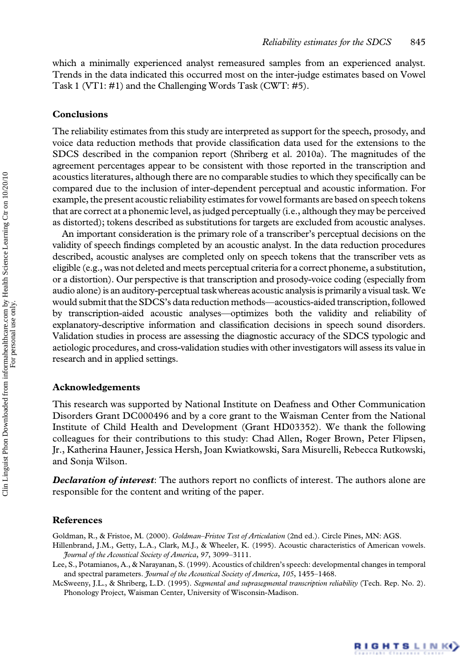which a minimally experienced analyst remeasured samples from an experienced analyst. Trends in the data indicated this occurred most on the inter-judge estimates based on Vowel Task 1 (VT1: #1) and the Challenging Words Task (CWT: #5).

#### Conclusions

The reliability estimates from this study are interpreted as support for the speech, prosody, and voice data reduction methods that provide classification data used for the extensions to the SDCS described in the companion report (Shriberg et al. 2010a). The magnitudes of the agreement percentages appear to be consistent with those reported in the transcription and acoustics literatures, although there are no comparable studies to which they specifically can be compared due to the inclusion of inter-dependent perceptual and acoustic information. For example, the present acoustic reliability estimates for vowel formants are based on speech tokens that are correct at a phonemic level, as judged perceptually (i.e., although they may be perceived as distorted); tokens described as substitutions for targets are excluded from acoustic analyses.

An important consideration is the primary role of a transcriber's perceptual decisions on the validity of speech findings completed by an acoustic analyst. In the data reduction procedures described, acoustic analyses are completed only on speech tokens that the transcriber vets as eligible (e.g., was not deleted and meets perceptual criteria for a correct phoneme, a substitution, or a distortion). Our perspective is that transcription and prosody-voice coding (especially from audio alone) is an auditory-perceptual task whereas acoustic analysis is primarily a visual task.We would submit that the SDCS's data reduction methods—acoustics-aided transcription, followed by transcription-aided acoustic analyses—optimizes both the validity and reliability of explanatory-descriptive information and classification decisions in speech sound disorders. Validation studies in process are assessing the diagnostic accuracy of the SDCS typologic and aetiologic procedures, and cross-validation studies with other investigators will assess its value in research and in applied settings.

#### Acknowledgements

This research was supported by National Institute on Deafness and Other Communication Disorders Grant DC000496 and by a core grant to the Waisman Center from the National Institute of Child Health and Development (Grant HD03352). We thank the following colleagues for their contributions to this study: Chad Allen, Roger Brown, Peter Flipsen, Jr., Katherina Hauner, Jessica Hersh, Joan Kwiatkowski, Sara Misurelli, Rebecca Rutkowski, and Sonja Wilson.

**Declaration of interest:** The authors report no conflicts of interest. The authors alone are responsible for the content and writing of the paper.

#### References

Goldman, R., & Fristoe, M. (2000). Goldman–Fristoe Test of Articulation (2nd ed.). Circle Pines, MN: AGS.

Hillenbrand, J.M., Getty, L.A., Clark, M.J., & Wheeler, K. (1995). Acoustic characteristics of American vowels. Journal of the Acoustical Society of America, 97, 3099–3111.

Lee, S., Potamianos, A., & Narayanan, S. (1999). Acoustics of children's speech: developmental changes in temporal and spectral parameters. *Journal of the Acoustical Society of America*, 105, 1455-1468.

McSweeny, J.L., & Shriberg, L.D. (1995). Segmental and suprasegmental transcription reliability (Tech. Rep. No. 2). Phonology Project, Waisman Center, University of Wisconsin-Madison.